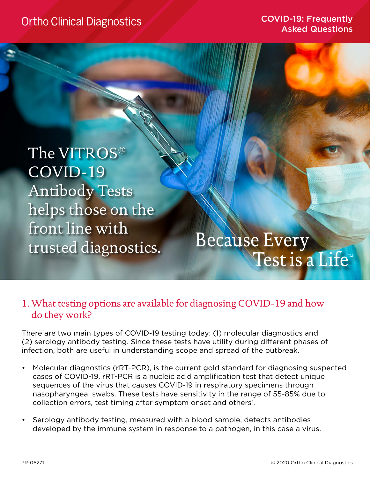**Ortho Clinical Diagnostics** 

COVID-19: Frequently Asked Questions

The VITROS® COVID-19 Antibody Tests helps those on the front line with trusted diagnostics.

# **Because Every** Test is a Life™

### 1. What testing options are available for diagnosing COVID-19 and how do they work?

There are two main types of COVID-19 testing today: (1) molecular diagnostics and (2) serology antibody testing. Since these tests have utility during different phases of infection, both are useful in understanding scope and spread of the outbreak.

- Molecular diagnostics (rRT-PCR), is the current gold standard for diagnosing suspected cases of COVID-19. rRT-PCR is a nucleic acid amplification test that detect unique sequences of the virus that causes COVID-19 in respiratory specimens through nasopharyngeal swabs. These tests have sensitivity in the range of 55-85% due to collection errors, test timing after symptom onset and others<sup>1</sup>.
- Serology antibody testing, measured with a blood sample, detects antibodies developed by the immune system in response to a pathogen, in this case a virus.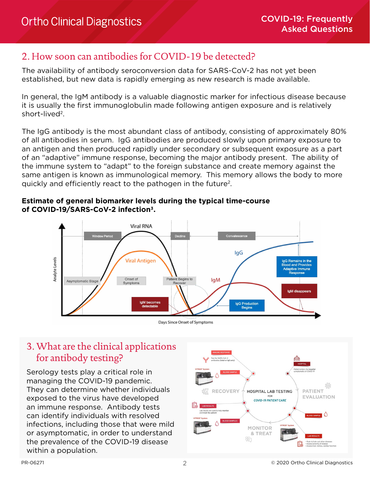#### 2. How soon can antibodies for COVID-19 be detected?

The availability of antibody seroconversion data for SARS-CoV-2 has not yet been established, but new data is rapidly emerging as new research is made available.

In general, the IgM antibody is a valuable diagnostic marker for infectious disease because it is usually the first immunoglobulin made following antigen exposure and is relatively short-lived<sup>2</sup>.

The IgG antibody is the most abundant class of antibody, consisting of approximately 80% of all antibodies in serum. IgG antibodies are produced slowly upon primary exposure to an antigen and then produced rapidly under secondary or subsequent exposure as a part of an "adaptive" immune response, becoming the major antibody present. The ability of the immune system to "adapt" to the foreign substance and create memory against the same antigen is known as immunological memory. This memory allows the body to more quickly and efficiently react to the pathogen in the future<sup>2</sup>.

#### **Estimate of general biomarker levels during the typical time-course of COVID-19/SARS-CoV-2 infection3.**



#### Days Since Onset of Symptoms

# 3. What are the clinical applications for antibody testing?

Serology tests play a critical role in managing the COVID-19 pandemic. They can determine whether individuals exposed to the virus have developed an immune response. Antibody tests can identify individuals with resolved infections, including those that were mild or asymptomatic, in order to understand the prevalence of the COVID-19 disease within a population.

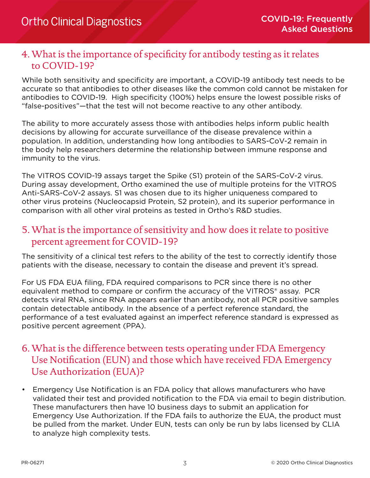### 4. What is the importance of specificity for antibody testing as it relates to COVID-19?

While both sensitivity and specificity are important, a COVID-19 antibody test needs to be accurate so that antibodies to other diseases like the common cold cannot be mistaken for antibodies to COVID-19. High specificity (100%) helps ensure the lowest possible risks of "false-positives"—that the test will not become reactive to any other antibody.

The ability to more accurately assess those with antibodies helps inform public health decisions by allowing for accurate surveillance of the disease prevalence within a population. In addition, understanding how long antibodies to SARS-CoV-2 remain in the body help researchers determine the relationship between immune response and immunity to the virus.

The VITROS COVID-19 assays target the Spike (S1) protein of the SARS-CoV-2 virus. During assay development, Ortho examined the use of multiple proteins for the VITROS Anti-SARS-CoV-2 assays. S1 was chosen due to its higher uniqueness compared to other virus proteins (Nucleocapsid Protein, S2 protein), and its superior performance in comparison with all other viral proteins as tested in Ortho's R&D studies.

## 5. What is the importance of sensitivity and how does it relate to positive percent agreement for COVID-19?

The sensitivity of a clinical test refers to the ability of the test to correctly identify those patients with the disease, necessary to contain the disease and prevent it's spread.

For US FDA EUA filing, FDA required comparisons to PCR since there is no other equivalent method to compare or confirm the accuracy of the VITROS® assay. PCR detects viral RNA, since RNA appears earlier than antibody, not all PCR positive samples contain detectable antibody. In the absence of a perfect reference standard, the performance of a test evaluated against an imperfect reference standard is expressed as positive percent agreement (PPA).

## 6. What is the difference between tests operating under FDA Emergency Use Notification (EUN) and those which have received FDA Emergency Use Authorization (EUA)?

• Emergency Use Notification is an FDA policy that allows manufacturers who have validated their test and provided notification to the FDA via email to begin distribution. These manufacturers then have 10 business days to submit an application for Emergency Use Authorization. If the FDA fails to authorize the EUA, the product must be pulled from the market. Under EUN, tests can only be run by labs licensed by CLIA to analyze high complexity tests.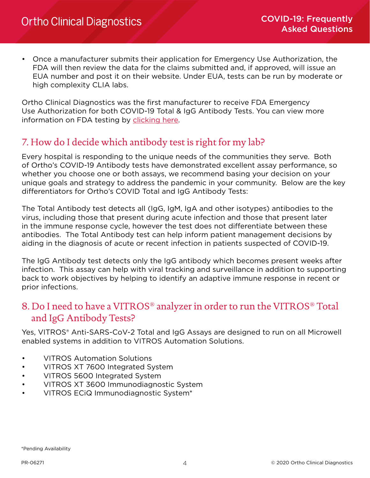• Once a manufacturer submits their application for Emergency Use Authorization, the FDA will then review the data for the claims submitted and, if approved, will issue an EUA number and post it on their website. Under EUA, tests can be run by moderate or high complexity CLIA labs.

Ortho Clinical Diagnostics was the first manufacturer to receive FDA Emergency Use Authorization for both COVID-19 Total & IgG Antibody Tests. You can view more information on FDA testing by [clicking here.](https://www.fda.gov/medical-devices/emergency-situations-medical-devices/emergency-use-authorizations#covid19ivd)

## 7. How do I decide which antibody test is right for my lab?

Every hospital is responding to the unique needs of the communities they serve. Both of Ortho's COVID-19 Antibody tests have demonstrated excellent assay performance, so whether you choose one or both assays, we recommend basing your decision on your unique goals and strategy to address the pandemic in your community. Below are the key differentiators for Ortho's COVID Total and IgG Antibody Tests:

The Total Antibody test detects all (IgG, IgM, IgA and other isotypes) antibodies to the virus, including those that present during acute infection and those that present later in the immune response cycle, however the test does not differentiate between these antibodies. The Total Antibody test can help inform patient management decisions by aiding in the diagnosis of acute or recent infection in patients suspected of COVID-19.

The IgG Antibody test detects only the IgG antibody which becomes present weeks after infection. This assay can help with viral tracking and surveillance in addition to supporting back to work objectives by helping to identify an adaptive immune response in recent or prior infections.

### 8. Do I need to have a VITROS® analyzer in order to run the VITROS® Total and IgG Antibody Tests?

Yes, VITROS® Anti-SARS-CoV-2 Total and IgG Assays are designed to run on all Microwell enabled systems in addition to VITROS Automation Solutions.

- VITROS Automation Solutions
- VITROS XT 7600 Integrated System
- VITROS 5600 Integrated System
- VITROS XT 3600 Immunodiagnostic System
- VITROS ECiQ Immunodiagnostic System\*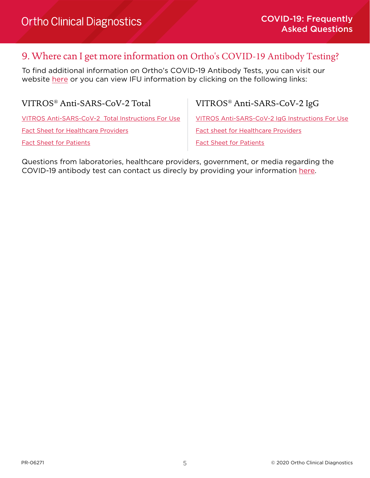#### 9. Where can I get more information on Ortho's COVID-19 Antibody Testing?

To find additional information on Ortho's COVID-19 Antibody Tests, you can visit our website [here](https://www.orthoclinicaldiagnostics.com/global/covid19) or you can view IFU information by clicking on the following links:

VITROS® Anti-SARS-CoV-2 Total VITROS® Anti-SARS-CoV-2 IgG

[VITROS Anti-SARS-CoV-2 Total Instructions For Use](https://techdocs.orthoclinicaldiagnostics.com/IFU/USDetailPage.aspx?hidebanner=Y&cPath=CoV2T_GEM1293_US_EN_I_EUA_3.pdf&p=1) [Fact Sheet for Healthcare Providers](https://techdocs.orthoclinicaldiagnostics.com/IFU/USDetailPage.aspx?hidebanner=Y&cPath=CoV2T_J68325_HCP_Fact_Sheet_EN_2.pdf&p=1) [Fact Sheet for Patients](https://techdocs.orthoclinicaldiagnostics.com/IFU/USDetailPage.aspx?hidebanner=Y&cPath=CoV2T_J68324_Recipient_Fact_Sheet_EN_2.pdf&p=1)

[VITROS Anti-SARS-CoV-2 IgG Instructions For Use](https://techdocs.orthoclinicaldiagnostics.com/IFU/USDetailPage.aspx?hidebanner=Y&cPath=CoV2G_GEM1292_WW_EN_I_EUA_3.pdf&p=1)

[Fact sheet for Healthcare Providers](https://techdocs.orthoclinicaldiagnostics.com/IFU/USDetailPage.aspx?hidebanner=Y&cPath=CoV2G_J68330_HCP_Fact_Sheet_EN.pdf&p=1)

[Fact Sheet for Patients](https://techdocs.orthoclinicaldiagnostics.com/IFU/USDetailPage.aspx?hidebanner=Y&cPath=CoV2G_J68329_Recipient_Fact_Sheet_EN.pdf&p=1)

Questions from laboratories, healthcare providers, government, or media regarding the COVID-19 antibody test can contact us direcly by providing your information [here.](https://www.orthoclinicaldiagnostics.com/global/covid19/contact-us)